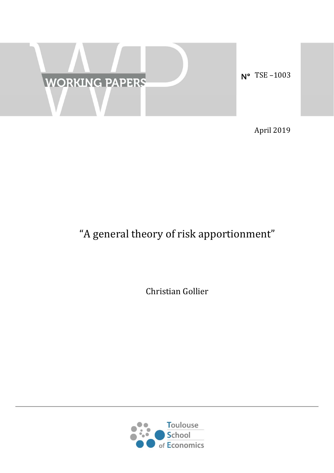

April 2019

# "A general theory of risk apportionment"

Christian Gollier 

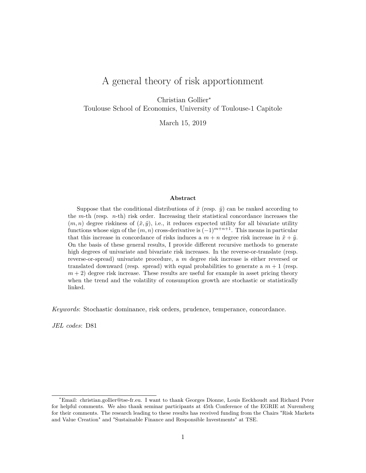# A general theory of risk apportionment

Christian Gollier<sup>∗</sup>

Toulouse School of Economics, University of Toulouse-1 Capitole

March 15, 2019

#### **Abstract**

Suppose that the conditional distributions of  $\tilde{x}$  (resp.  $\tilde{y}$ ) can be ranked according to the *m*-th (resp. *n*-th) risk order. Increasing their statistical concordance increases the  $(m, n)$  degree riskiness of  $(\tilde{x}, \tilde{y})$ , i.e., it reduces expected utility for all bivariate utility functions whose sign of the (*m, n*) cross-derivative is (−1)*<sup>m</sup>*+*n*+1. This means in particular that this increase in concordance of risks induces a  $m + n$  degree risk increase in  $\tilde{x} + \tilde{y}$ . On the basis of these general results, I provide different recursive methods to generate high degrees of univariate and bivariate risk increases. In the reverse-or-translate (resp. reverse-or-spread) univariate procedure, a *m* degree risk increase is either reversed or translated downward (resp. spread) with equal probabilities to generate a  $m + 1$  (resp.  $m + 2$ ) degree risk increase. These results are useful for example in asset pricing theory when the trend and the volatility of consumption growth are stochastic or statistically linked.

*Keywords*: Stochastic dominance, risk orders, prudence, temperance, concordance.

*JEL codes*: D81

<sup>∗</sup>Email: christian.gollier@tse-fr.eu. I want to thank Georges Dionne, Louis Eeckhoudt and Richard Peter for helpful comments. We also thank seminar participants at 45th Conference of the EGRIE at Nuremberg for their comments. The research leading to these results has received funding from the Chairs "Risk Markets and Value Creation" and "Sustainable Finance and Responsible Investments" at TSE.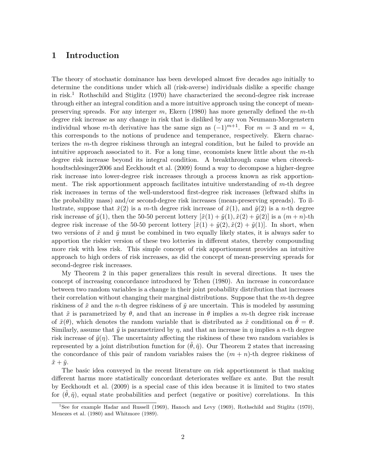### **1 Introduction**

The theory of stochastic dominance has been developed almost five decades ago initially to determine the conditions under which all (risk-averse) individuals dislike a specific change in risk.<sup>1</sup> Rothschild and Stiglitz (1970) have characterized the second-degree risk increase through either an integral condition and a more intuitive approach using the concept of meanpreserving spreads. For any interger *m*, Ekern (1980) has more generally defined the *m*-th degree risk increase as any change in risk that is disliked by any von Neumann-Morgenstern individual whose *m*-th derivative has the same sign as  $(-1)^{m+1}$ . For  $m = 3$  and  $m = 4$ , this corresponds to the notions of prudence and temperance, respectively. Ekern characterizes the *m*-th degree riskiness through an integral condition, but he failed to provide an intuitive approach associated to it. For a long time, economists knew little about the *m*-th degree risk increase beyond its integral condition. A breakthrough came when citeeeckhoudtschlesinger2006 and Eeckhoudt et al. (2009) found a way to decompose a higher-degree risk increase into lower-degree risk increases through a process known as risk apportionment. The risk apportionment approach facilitates intuitive understanding of *m*-th degree risk increases in terms of the well-understood first-degree risk increases (leftward shifts in the probability mass) and/or second-degree risk increases (mean-preserving spreads). To illustrate, suppose that  $\tilde{x}(2)$  is a *m*-th degree risk increase of  $\tilde{x}(1)$ , and  $\tilde{y}(2)$  is a *n*-th degree risk increase of  $\tilde{y}(1)$ , then the 50-50 percent lottery  $[\tilde{x}(1) + \tilde{y}(1), \tilde{x}(2) + \tilde{y}(2)]$  is a  $(m+n)$ -th degree risk increase of the 50-50 percent lottery  $[\tilde{x}(1) + \tilde{y}(2), \tilde{x}(2) + \tilde{y}(1)]$ . In short, when two versions of  $\tilde{x}$  and  $\tilde{y}$  must be combined in two equally likely states, it is always safer to apportion the riskier version of these two lotteries in different states, thereby compounding more risk with less risk. This simple concept of risk apportionment provides an intuitive approach to high orders of risk increases, as did the concept of mean-preserving spreads for second-degree risk increases.

My Theorem 2 in this paper generalizes this result in several directions. It uses the concept of increasing concordance introduced by Tchen (1980). An increase in concordance between two random variables is a change in their joint probability distribution that increases their correlation without changing their marginal distributions. Suppose that the *m*-th degree riskiness of  $\tilde{x}$  and the *n*-th degree riskiness of  $\tilde{y}$  are uncertain. This is modeled by assuming that  $\tilde{x}$  is parametrized by  $\theta$ , and that an increase in  $\theta$  implies a *m*-th degree risk increase of  $\tilde{x}(\theta)$ , which denotes the random variable that is distributed as  $\tilde{x}$  conditional on  $\theta = \theta$ . Similarly, assume that  $\tilde{y}$  is parametrized by  $\eta$ , and that an increase in  $\eta$  implies a *n*-th degree risk increase of  $\tilde{y}(\eta)$ . The uncertainty affecting the riskiness of these two random variables is represented by a joint distribution function for  $(\tilde{\theta}, \tilde{\eta})$ . Our Theorem 2 states that increasing the concordance of this pair of random variables raises the  $(m + n)$ -th degree riskiness of  $\tilde{x} + \tilde{y}$ .

The basic idea conveyed in the recent literature on risk apportionment is that making different harms more statistically concordant deteriorates welfare ex ante. But the result by Eeckhoudt et al. (2009) is a special case of this idea because it is limited to two states for  $(\tilde{\theta}, \tilde{\eta})$ , equal state probabilities and perfect (negative or positive) correlations. In this

<sup>&</sup>lt;sup>1</sup>See for example Hadar and Russell (1969), Hanoch and Levy (1969), Rothschild and Stiglitz (1970), Menezes et al. (1980) and Whitmore (1989).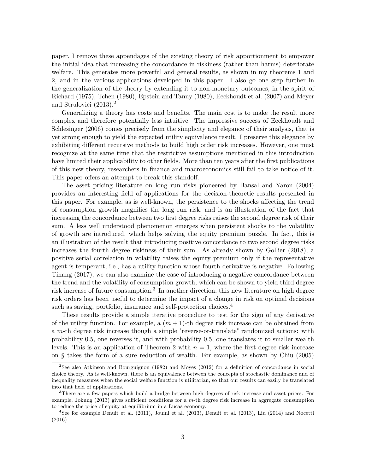paper, I remove these appendages of the existing theory of risk apportionment to empower the initial idea that increasing the concordance in riskiness (rather than harms) deteriorate welfare. This generates more powerful and general results, as shown in my theorems 1 and 2, and in the various applications developed in this paper. I also go one step further in the generalization of the theory by extending it to non-monetary outcomes, in the spirit of Richard (1975), Tchen (1980), Epstein and Tanny (1980), Eeckhoudt et al. (2007) and Meyer and Strulovici (2013).<sup>2</sup>

Generalizing a theory has costs and benefits. The main cost is to make the result more complex and therefore potentially less intuitive. The impressive success of Eeckhoudt and Schlesinger (2006) comes precisely from the simplicity and elegance of their analysis, that is yet strong enough to yield the expected utility equivalence result. I preserve this elegance by exhibiting different recursive methods to build high order risk increases. However, one must recognize at the same time that the restrictive assumptions mentioned in this introduction have limited their applicability to other fields. More than ten years after the first publications of this new theory, researchers in finance and macroeconomics still fail to take notice of it. This paper offers an attempt to break this standoff.

The asset pricing literature on long run risks pioneered by Bansal and Yaron (2004) provides an interesting field of applications for the decision-theoretic results presented in this paper. For example, as is well-known, the persistence to the shocks affecting the trend of consumption growth magnifies the long run risk, and is an illustration of the fact that increasing the concordance between two first degree risks raises the second degree risk of their sum. A less well understood phenomenon emerges when persistent shocks to the volatility of growth are introduced, which helps solving the equity premium puzzle. In fact, this is an illustration of the result that introducing positive concordance to two second degree risks increases the fourth degree riskiness of their sum. As already shown by Gollier (2018), a positive serial correlation in volatility raises the equity premium only if the representative agent is temperant, i.e., has a utility function whose fourth derivative is negative. Following Tinang (2017), we can also examine the case of introducing a negative concordance between the trend and the volatility of consumption growth, which can be shown to yield third degree risk increase of future consumption.<sup>3</sup> In another direction, this new literature on high degree risk orders has been useful to determine the impact of a change in risk on optimal decisions such as saving, portfolio, insurance and self-protection choices.<sup>4</sup>

These results provide a simple iterative procedure to test for the sign of any derivative of the utility function. For example, a  $(m + 1)$ -th degree risk increase can be obtained from a *m*-th degree risk increase though a simple "reverse-or-translate" randomized actions: with probability 0.5, one reverses it, and with probability 0.5, one translates it to smaller wealth levels. This is an application of Theorem 2 with  $n = 1$ , where the first degree risk increase on  $\tilde{y}$  takes the form of a sure reduction of wealth. For example, as shown by Chiu (2005)

<sup>2</sup>See also Atkinson and Bourguignon (1982) and Moyes (2012) for a definition of concordance in social choice theory. As is well-known, there is an equivalence between the concepts of stochastic dominance and of inequality measures when the social welfare function is utilitarian, so that our results can easily be translated into that field of applications.

<sup>3</sup>There are a few papers which build a bridge between high degrees of risk increase and asset prices. For example, Jokung (2013) gives sufficient conditions for a *m*-th degree risk increase in aggregate consumption to reduce the price of equity at equilibrium in a Lucas economy.

<sup>4</sup>See for example Denuit et al. (2011), Jouini et al. (2013), Denuit et al. (2013), Liu (2014) and Nocetti (2016).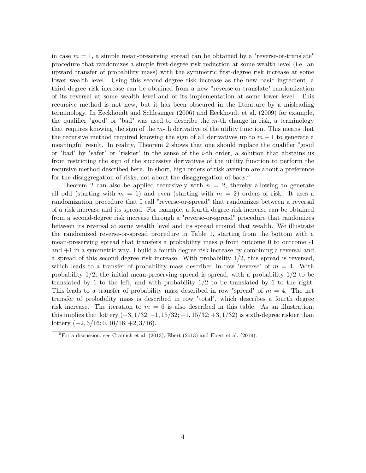in case  $m = 1$ , a simple mean-preserving spread can be obtained by a "reverse-or-translate" procedure that randomizes a simple first-degree risk reduction at some wealth level (i.e. an upward transfer of probability mass) with the symmetric first-degree risk increase at some lower wealth level. Using this second-degree risk increase as the new basic ingredient, a third-degree risk increase can be obtained from a new "reverse-or-translate" randomization of its reversal at some wealth level and of its implementation at some lower level. This recursive method is not new, but it has been obscured in the literature by a misleading terminology. In Eeckhoudt and Schlesinger (2006) and Eeckhoudt et al. (2009) for example, the qualifier "good" or "bad" was used to describe the *m*-th change in risk, a terminology that requires knowing the sign of the *m*-th derivative of the utility function. This means that the recursive method required knowing the sign of all derivatives up to  $m + 1$  to generate a meaningful result. In reality, Theorem 2 shows that one should replace the qualifier "good or "bad" by "safer" or "riskier" in the sense of the *i*-th order, a solution that abstains us from restricting the sign of the successive derivatives of the utility function to perform the recursive method described here. In short, high orders of risk aversion are about a preference for the disaggregation of risks, not about the disaggregation of bads.<sup>5</sup>

Theorem 2 can also be applied recursively with  $n = 2$ , thereby allowing to generate all odd (starting with  $m = 1$ ) and even (starting with  $m = 2$ ) orders of risk. It uses a randomization procedure that I call "reverse-or-spread" that randomizes between a reversal of a risk increase and its spread. For example, a fourth-degree risk increase can be obtained from a second-degree risk increase through a "reverse-or-spread" procedure that randomizes between its reversal at some wealth level and its spread around that wealth. We illustrate the randomized reverse-or-spread procedure in Table 1, starting from the bottom with a mean-preserving spread that transfers a probability mass  $p$  from outcome 0 to outcome  $-1$ and +1 in a symmetric way. I build a fourth degree risk increase by combining a reversal and a spread of this second degree risk increase. With probability  $1/2$ , this spread is reversed, which leads to a transfer of probability mass described in row "reverse" of  $m = 4$ . With probability 1/2, the initial mean-preserving spread is spread, with a probability 1/2 to be translated by 1 to the left, and with probability 1/2 to be translated by 1 to the right. This leads to a transfer of probability mass described in row "spread" of *m* = 4. The net transfer of probability mass is described in row "total", which describes a fourth degree risk increase. The iteration to  $m = 6$  is also described in this table. As an illustration, this implies that lottery (−3*,* 1*/*32; −1*,* 15*/*32; +1*,* 15*/*32; +3*,* 1*/*32) is sixth-degree riskier than lottery (−2*,* 3*/*16; 0*,* 10*/*16; +2*,* 3*/*16).

 ${}^{5}$ For a discussion, see Crainich et al. (2013), Ebert (2013) and Ebert et al. (2019).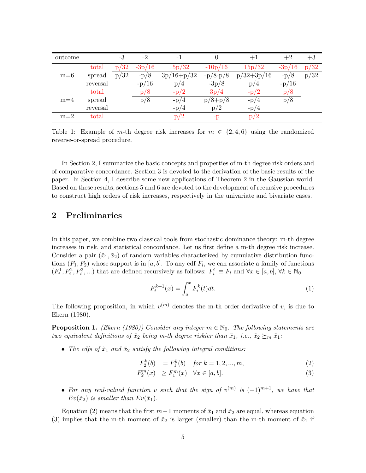| outcome |          | -3   | $-2$     |              |            | $+1$         | $+2$     | $+3$ |
|---------|----------|------|----------|--------------|------------|--------------|----------|------|
| $m=6$   | total    | p/32 | $-3p/16$ | 15p/32       | $-10p/16$  | 15p/32       | $-3p/16$ | p/32 |
|         | spread   | p/32 | $-p/8$   | $3p/16+p/32$ | $-p/8-p/8$ | $p/32+3p/16$ | $-p/8$   | p/32 |
|         | reversal |      | $-p/16$  | p/4          | $-3p/8$    | p/4          | $-p/16$  |      |
| $m=4$   | total    |      | p/8      | $-p/2$       | 3p/4       | $-p/2$       | p/8      |      |
|         | spread   |      | p/8      | $-p/4$       | $p/8+p/8$  | $-p/4$       | p/8      |      |
|         | reversal |      |          | $-p/4$       | p/2        | $-p/4$       |          |      |
| $m=2$   | total    |      |          | p/2          | $-D$       | p/2          |          |      |

Table 1: Example of *m*-th degree risk increases for  $m \in \{2, 4, 6\}$  using the randomized reverse-or-spread procedure.

In Section 2, I summarize the basic concepts and properties of m-th degree risk orders and of comparative concordance. Section 3 is devoted to the derivation of the basic results of the paper. In Section 4, I describe some new applications of Theorem 2 in the Gaussian world. Based on these results, sections 5 and 6 are devoted to the development of recursive procedures to construct high orders of risk increases, respectively in the univariate and bivariate cases.

### **2 Preliminaries**

In this paper, we combine two classical tools from stochastic dominance theory: m-th degree increases in risk, and statistical concordance. Let us first define a m-th degree risk increase. Consider a pair  $(\tilde{x}_1, \tilde{x}_2)$  of random variables characterized by cumulative distribution functions  $(F_1, F_2)$  whose support is in  $[a, b]$ . To any cdf  $F_i$ , we can associate a family of functions  $(F_i^1, F_i^2, F_i^3, \ldots)$  that are defined recursively as follows:  $F_i^1 \equiv F_i$  and  $\forall x \in [a, b]$ ,  $\forall k \in \mathbb{N}_0$ :

$$
F_i^{k+1}(x) = \int_a^x F_i^k(t)dt.
$$
 (1)

The following proposition, in which  $v^{(m)}$  denotes the m-th order derivative of *v*, is due to Ekern (1980).

**Proposition 1.** *(Ekern (1980)) Consider any integer*  $m \in \mathbb{N}_0$ . The following statements are *two equivalent definitions of*  $\tilde{x}_2$  *being m-th degree riskier than*  $\tilde{x}_1$ *, i.e.,*  $\tilde{x}_2 \succeq_m \tilde{x}_1$ *:* 

• The cdfs of  $\tilde{x}_1$  and  $\tilde{x}_2$  satisfy the following integral conditions:

$$
F_2^k(b) = F_1^k(b) \quad \text{for } k = 1, 2, ..., m,
$$
 (2)

$$
F_2^m(x) \ge F_1^m(x) \quad \forall x \in [a, b]. \tag{3}
$$

• For any real-valued function *v* such that the sign of  $v^{(m)}$  is  $(-1)^{m+1}$ , we have that  $Ev(\tilde{x}_2)$  *is smaller than*  $Ev(\tilde{x}_1)$ *.* 

Equation (2) means that the first  $m-1$  moments of  $\tilde{x}_1$  and  $\tilde{x}_2$  are equal, whereas equation (3) implies that the m-th moment of  $\tilde{x}_2$  is larger (smaller) than the m-th moment of  $\tilde{x}_1$  if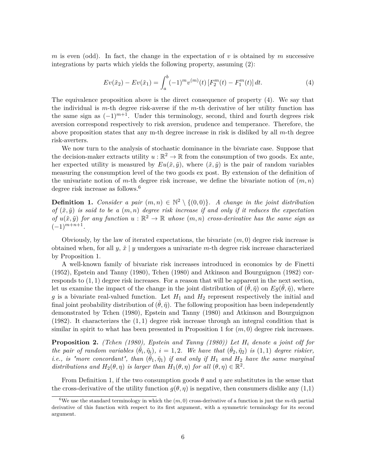*m* is even (odd). In fact, the change in the expectation of *v* is obtained by *m* successive integrations by parts which yields the following property, assuming (2):

$$
Ev(\tilde{x}_2) - Ev(\tilde{x}_1) = \int_a^b (-1)^m v^{(m)}(t) \left[ F_2^m(t) - F_1^m(t) \right] dt.
$$
 (4)

The equivalence proposition above is the direct consequence of property (4). We say that the individual is *m*-th degree risk-averse if the *m*-th derivative of her utility function has the same sign as  $(-1)^{m+1}$ . Under this terminology, second, third and fourth degrees risk aversion correspond respectively to risk aversion, prudence and temperance. Therefore, the above proposition states that any m-th degree increase in risk is disliked by all *m*-th degree risk-averters.

We now turn to the analysis of stochastic dominance in the bivariate case. Suppose that the decision-maker extracts utility  $u : \mathbb{R}^2 \to \mathbb{R}$  from the consumption of two goods. Ex ante, her expected utility is measured by  $Eu(\tilde{x}, \tilde{y})$ , where  $(\tilde{x}, \tilde{y})$  is the pair of random variables measuring the consumption level of the two goods ex post. By extension of the definition of the univariate notion of  $m$ -th degree risk increase, we define the bivariate notion of  $(m, n)$ degree risk increase as follows.<sup>6</sup>

**Definition 1.** *Consider a pair*  $(m, n) \in \mathbb{N}^2 \setminus \{(0, 0)\}\$ . A change in the joint distribution *of*  $(\tilde{x}, \tilde{y})$  *is said to be a*  $(m, n)$  *degree risk increase if and only if it reduces the expectation of*  $u(\tilde{x}, \tilde{y})$  *for any function*  $u : \mathbb{R}^2 \to \mathbb{R}$  whose  $(m, n)$  *cross-derivative has the same sign as*  $(-1)^{m+n+1}$ .

Obviously, by the law of iterated expectations, the bivariate (*m,* 0) degree risk increase is obtained when, for all  $y, \tilde{x} \mid y$  undergoes a univariate *m*-th degree risk increase characterized by Proposition 1.

A well-known family of bivariate risk increases introduced in economics by de Finetti (1952), Epstein and Tanny (1980), Tchen (1980) and Atkinson and Bourguignon (1982) corresponds to (1*,* 1) degree risk increases. For a reason that will be apparent in the next section, let us examine the impact of the change in the joint distribution of  $(\tilde{\theta}, \tilde{\eta})$  on  $E_g(\tilde{\theta}, \tilde{\eta})$ , where  $g$  is a bivariate real-valued function. Let  $H_1$  and  $H_2$  represent respectively the initial and final joint probability distribution of  $(\tilde{\theta}, \tilde{\eta})$ . The following proposition has been independently demonstrated by Tchen (1980), Epstein and Tanny (1980) and Atkinson and Bourguignon (1982). It characterizes the (1*,* 1) degree risk increase through an integral condition that is similar in spirit to what has been presented in Proposition 1 for  $(m, 0)$  degree risk increases.

**Proposition 2.** *(Tchen (1980), Epstein and Tanny (1980)) Let H<sup>i</sup> denote a joint cdf for the pair of random variables*  $(\tilde{\theta}_i, \tilde{\eta}_i)$ ,  $i = 1, 2$ . We have that  $(\tilde{\theta}_2, \tilde{\eta}_2)$  *is*  $(1, 1)$  *degree riskier, i.e., is "more concordant", than*  $(\tilde{\theta}_1, \tilde{\eta}_1)$  *if and only if*  $H_1$  *and*  $H_2$  *have the same marginal distributions and*  $H_2(\theta, \eta)$  *is larger than*  $H_1(\theta, \eta)$  *for all*  $(\theta, \eta) \in \mathbb{R}^2$ *.* 

From Definition 1, if the two consumption goods *θ* and *η* are substitutes in the sense that the cross-derivative of the utility function  $q(\theta, \eta)$  is negative, then consumers dislike any (1,1)

<sup>&</sup>lt;sup>6</sup>We use the standard terminology in which the  $(m, 0)$  cross-derivative of a function is just the *m*-th partial derivative of this function with respect to its first argument, with a symmetric terminology for its second argument.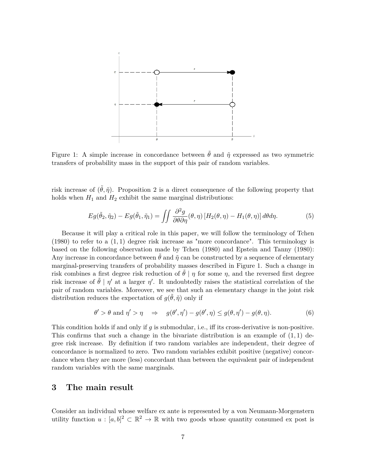

Figure 1: A simple increase in concordance between  $\tilde{\theta}$  and  $\tilde{\eta}$  expressed as two symmetric transfers of probability mass in the support of this pair of random variables.

risk increase of  $(\tilde{\theta}, \tilde{\eta})$ . Proposition 2 is a direct consequence of the following property that holds when  $H_1$  and  $H_2$  exhibit the same marginal distributions:

$$
Eg(\tilde{\theta}_2, \tilde{\eta}_2) - Eg(\tilde{\theta}_1, \tilde{\eta}_1) = \iint \frac{\partial^2 g}{\partial \theta \partial \eta}(\theta, \eta) \left[ H_2(\theta, \eta) - H_1(\theta, \eta) \right] d\theta d\eta.
$$
 (5)

Because it will play a critical role in this paper, we will follow the terminology of Tchen  $(1980)$  to refer to a  $(1,1)$  degree risk increase as "more concordance". This terminology is based on the following observation made by Tchen (1980) and Epstein and Tanny (1980): Any increase in concordance between  $\theta$  and  $\tilde{\eta}$  can be constructed by a sequence of elementary marginal-preserving transfers of probability masses described in Figure 1. Such a change in risk combines a first degree risk reduction of  $\hat{\theta}$  | *η* for some *η*, and the reversed first degree risk increase of  $\tilde{\theta}$  |  $\eta'$  at a larger  $\eta'$ . It undoubtedly raises the statistical correlation of the pair of random variables. Moreover, we see that such an elementary change in the joint risk distribution reduces the expectation of  $g(\tilde{\theta}, \tilde{\eta})$  only if

$$
\theta' > \theta \text{ and } \eta' > \eta \quad \Rightarrow \quad g(\theta', \eta') - g(\theta', \eta) \le g(\theta, \eta') - g(\theta, \eta). \tag{6}
$$

This condition holds if and only if *g* is submodular, i.e., iff its cross-derivative is non-positive. This confirms that such a change in the bivariate distribution is an example of (1*,* 1) degree risk increase. By definition if two random variables are independent, their degree of concordance is normalized to zero. Two random variables exhibit positive (negative) concordance when they are more (less) concordant than between the equivalent pair of independent random variables with the same marginals.

### **3 The main result**

Consider an individual whose welfare ex ante is represented by a von Neumann-Morgenstern utility function  $u : [a, b]^2 \subset \mathbb{R}^2 \to \mathbb{R}$  with two goods whose quantity consumed ex post is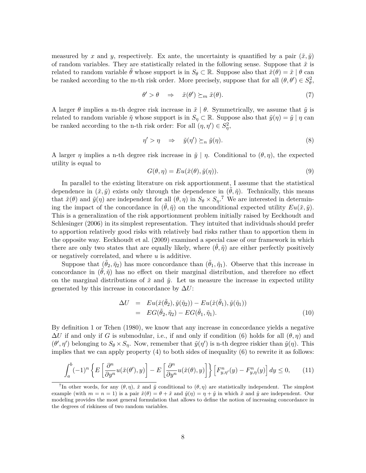measured by x and y, respectively. Ex ante, the uncertainty is quantified by a pair  $(\tilde{x}, \tilde{y})$ of random variables. They are statistically related in the following sense. Suppose that  $\tilde{x}$  is related to random variable  $\tilde{\theta}$  whose support is in  $S_{\theta} \subset \mathbb{R}$ . Suppose also that  $\tilde{x}(\theta) = \tilde{x} \mid \theta$  can be ranked according to the m-th risk order. More precisely, suppose that for all  $(\theta, \theta') \in S^2_{\theta}$ ,

$$
\theta' > \theta \quad \Rightarrow \quad \tilde{x}(\theta') \succeq_m \tilde{x}(\theta). \tag{7}
$$

A larger  $\theta$  implies a m-th degree risk increase in  $\tilde{x} \mid \theta$ . Symmetrically, we assume that  $\tilde{y}$  is related to random variable  $\tilde{\eta}$  whose support is in  $S_{\eta} \subset \mathbb{R}$ . Suppose also that  $\tilde{y}(\eta) = \tilde{y} | \eta$  can be ranked according to the n-th risk order: For all  $(\eta, \eta') \in S^2_{\eta}$ ,

$$
\eta' > \eta \quad \Rightarrow \quad \tilde{y}(\eta') \succeq_n \tilde{y}(\eta). \tag{8}
$$

A larger *η* implies a n-th degree risk increase in  $\tilde{y} \mid \eta$ . Conditional to  $(\theta, \eta)$ , the expected utility is equal to

$$
G(\theta, \eta) = Eu(\tilde{x}(\theta), \tilde{y}(\eta)).
$$
\n(9)

In parallel to the existing literature on risk apportionment, I assume that the statistical dependence in  $(\tilde{x}, \tilde{y})$  exists only through the dependence in  $(\tilde{\theta}, \tilde{\eta})$ . Technically, this means that  $\tilde{x}(\theta)$  and  $\tilde{y}(\eta)$  are independent for all  $(\theta, \eta)$  in  $S_{\theta} \times S_{\eta}$ .<sup>7</sup> We are interested in determining the impact of the concordance in  $(\tilde{\theta}, \tilde{\eta})$  on the unconditional expected utility  $Eu(\tilde{x}, \tilde{y})$ . This is a generalization of the risk apportionment problem initially raised by Eeckhoudt and Schlesinger (2006) in its simplest representation. They intuited that individuals should prefer to apportion relatively good risks with relatively bad risks rather than to apportion them in the opposite way. Eeckhoudt et al. (2009) examined a special case of our framework in which there are only two states that are equally likely, where  $(\tilde{\theta}, \tilde{\eta})$  are either perfectly positively or negatively correlated, and where *u* is additive.

Suppose that  $(\tilde{\theta}_2, \tilde{\eta}_2)$  has more concordance than  $(\tilde{\theta}_1, \tilde{\eta}_1)$ . Observe that this increase in concordance in  $(\tilde{\theta}, \tilde{\eta})$  has no effect on their marginal distribution, and therefore no effect on the marginal distributions of  $\tilde{x}$  and  $\tilde{y}$ . Let us measure the increase in expected utility generated by this increase in concordance by  $\Delta U$ :

$$
\Delta U = Eu(\tilde{x}(\tilde{\theta}_2), \tilde{y}(\tilde{\eta}_2)) - Eu(\tilde{x}(\tilde{\theta}_1), \tilde{y}(\tilde{\eta}_1))
$$
  
= 
$$
EG(\tilde{\theta}_2, \tilde{\eta}_2) - EG(\tilde{\theta}_1, \tilde{\eta}_1).
$$
 (10)

By definition 1 or Tchen (1980), we know that any increase in concordance yields a negative  $\Delta U$  if and only if *G* is submodular, i.e., if and only if condition (6) holds for all  $(\theta, \eta)$  and  $(\theta', \eta')$  belonging to  $S_{\theta} \times S_{\eta}$ . Now, remember that  $\tilde{y}(\eta')$  is n-th degree riskier than  $\tilde{y}(\eta)$ . This implies that we can apply property (4) to both sides of inequality (6) to rewrite it as follows:

$$
\int_{a}^{b} (-1)^{n} \left\{ E\left[\frac{\partial^{n}}{\partial y^{n}} u(\tilde{x}(\theta', y))\right] - E\left[\frac{\partial^{n}}{\partial y^{n}} u(\tilde{x}(\theta), y)\right] \right\} \left[F_{y, \eta'}^{n}(y) - F_{y, \eta}^{n}(y)\right] dy \le 0, \quad (11)
$$

<sup>&</sup>lt;sup>7</sup>In other words, for any  $(\theta, \eta)$ ,  $\tilde{x}$  and  $\tilde{y}$  conditional to  $(\theta, \eta)$  are statistically independent. The simplest example (with  $m = n = 1$ ) is a pair  $\tilde{x}(\theta) = \theta + \tilde{x}$  and  $\tilde{y}(\eta) = \eta + \tilde{y}$  in which  $\tilde{x}$  and  $\tilde{y}$  are independent. Our modeling provides the most general formulation that allows to define the notion of increasing concordance in the degrees of riskiness of two random variables.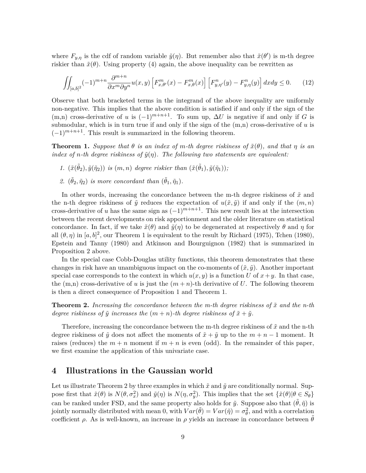where  $F_{y,\eta}$  is the cdf of random variable  $\tilde{y}(\eta)$ . But remember also that  $\tilde{x}(\theta')$  is m-th degree riskier than  $\tilde{x}(\theta)$ . Using property (4) again, the above inequality can be rewritten as

$$
\iint_{[a,b]^2} (-1)^{m+n} \frac{\partial^{m+n}}{\partial x^m \partial y^n} u(x,y) \left[ F^m_{x,\theta'}(x) - F^m_{x,\theta}(x) \right] \left[ F^n_{y,\eta'}(y) - F^n_{y,\eta}(y) \right] dx dy \le 0. \tag{12}
$$

Observe that both bracketed terms in the integrand of the above inequality are uniformly non-negative. This implies that the above condition is satisfied if and only if the sign of the  $(m,n)$  cross-derivative of *u* is  $(-1)^{m+n+1}$ . To sum up,  $\Delta U$  is negative if and only if *G* is submodular, which is in turn true if and only if the sign of the (m,n) cross-derivative of *u* is  $(-1)^{m+n+1}$ . This result is summarized in the following theorem.

**Theorem 1.** *Suppose that*  $\theta$  *is an index of*  $m$ *-th degree riskiness of*  $\tilde{x}(\theta)$ *, and that*  $\eta$  *is an index of n-th degree riskiness of*  $\tilde{y}(\eta)$ . The following two statements are equivalent:

- *1.*  $(\tilde{x}(\tilde{\theta}_1), \tilde{y}(\tilde{\eta}_1));$  *is*  $(m, n)$  *degree riskier than*  $(\tilde{x}(\tilde{\theta}_1), \tilde{y}(\tilde{\eta}_1));$
- 2.  $(\tilde{\theta}_2, \tilde{\eta}_2)$  *is more concordant than*  $(\tilde{\theta}_1, \tilde{\eta}_1)$ *.*

In other words, increasing the concordance between the m-th degree riskiness of  $\tilde{x}$  and the n-th degree riskiness of  $\tilde{y}$  reduces the expectation of  $u(\tilde{x}, \tilde{y})$  if and only if the  $(m, n)$ cross-derivative of *u* has the same sign as  $(-1)^{m+n+1}$ . This new result lies at the intersection between the recent developments on risk apportionment and the older literature on statistical concordance. In fact, if we take  $\tilde{x}(\theta)$  and  $\tilde{y}(\eta)$  to be degenerated at respectively  $\theta$  and  $\eta$  for all  $(\theta, \eta)$  in  $[a, b]^2$ , our Theorem 1 is equivalent to the result by Richard (1975), Tchen (1980), Epstein and Tanny (1980) and Atkinson and Bourguignon (1982) that is summarized in Proposition 2 above.

In the special case Cobb-Douglas utility functions, this theorem demonstrates that these changes in risk have an unambiguous impact on the co-moments of  $(\tilde{x}, \tilde{y})$ . Another important special case corresponds to the context in which  $u(x, y)$  is a function *U* of  $x + y$ . In that case, the  $(m,n)$  cross-derivative of *u* is just the  $(m+n)$ -th derivative of *U*. The following theorem is then a direct consequence of Proposition 1 and Theorem 1.

**Theorem 2.** Increasing the concordance between the m-th degree riskiness of  $\tilde{x}$  and the n-th *degree riskiness of*  $\tilde{y}$  *increases the*  $(m+n)$ -th degree riskiness of  $\tilde{x} + \tilde{y}$ *.* 

Therefore, increasing the concordance between the m-th degree riskiness of  $\tilde{x}$  and the n-th degree riskiness of  $\tilde{y}$  does not affect the moments of  $\tilde{x} + \tilde{y}$  up to the  $m + n - 1$  moment. It raises (reduces) the  $m + n$  moment if  $m + n$  is even (odd). In the remainder of this paper, we first examine the application of this univariate case.

### **4 Illustrations in the Gaussian world**

Let us illustrate Theorem 2 by three examples in which  $\tilde{x}$  and  $\tilde{y}$  are conditionally normal. Suppose first that  $\tilde{x}(\theta)$  is  $N(\theta, \sigma_x^2)$  and  $\tilde{y}(\eta)$  is  $N(\eta, \sigma_y^2)$ . This implies that the set  $\{\tilde{x}(\theta) | \theta \in S_{\theta}\}\$ can be ranked under FSD, and the same property also holds for  $\tilde{y}$ . Suppose also that  $(\tilde{\theta}, \tilde{\eta})$  is jointly normally distributed with mean 0, with  $Var(\tilde{\theta}) = Var(\tilde{\eta}) = \sigma_{\theta}^2$ , and with a correlation coefficient  $\rho$ . As is well-known, an increase in  $\rho$  yields an increase in concordance between  $\theta$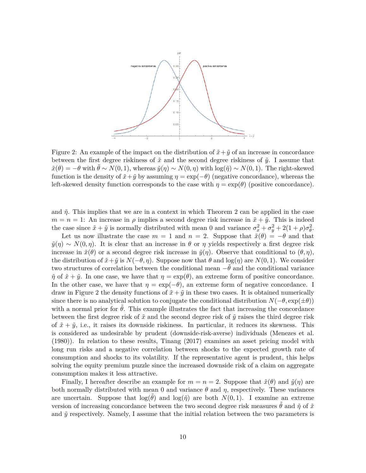

Figure 2: An example of the impact on the distribution of  $\tilde{x} + \tilde{y}$  of an increase in concordance between the first degree riskiness of  $\tilde{x}$  and the second degree riskiness of  $\tilde{y}$ . I assume that  $\tilde{x}(\theta) = -\theta$  with  $\dot{\theta} \sim N(0, 1)$ , whereas  $\tilde{y}(\eta) \sim N(0, \eta)$  with  $\log(\tilde{\eta}) \sim N(0, 1)$ . The right-skewed function is the density of  $\tilde{x} + \tilde{y}$  by assuming  $\eta = \exp(-\theta)$  (negative concordance), whereas the left-skewed density function corresponds to the case with  $\eta = \exp(\theta)$  (positive concordance).

and  $\tilde{\eta}$ . This implies that we are in a context in which Theorem 2 can be applied in the case  $m = n = 1$ : An increase in  $\rho$  implies a second degree risk increase in  $\tilde{x} + \tilde{y}$ . This is indeed the case since  $\tilde{x} + \tilde{y}$  is normally distributed with mean 0 and variance  $\sigma_x^2 + \sigma_y^2 + 2(1+\rho)\sigma_\theta^2$ .

Let us now illustrate the case  $m = 1$  and  $n = 2$ . Suppose that  $\tilde{x}(\theta) = -\theta$  and that  $\tilde{y}(\eta) \sim N(0, \eta)$ . It is clear that an increase in  $\theta$  or  $\eta$  yields respectively a first degree risk increase in  $\tilde{x}(\theta)$  or a second degree risk increase in  $\tilde{y}(\eta)$ . Observe that conditional to  $(\theta, \eta)$ , the distribution of  $\tilde{x} + \tilde{y}$  is  $N(-\theta, \eta)$ . Suppose now that  $\theta$  and log( $\eta$ ) are  $N(0, 1)$ . We consider two structures of correlation between the conditional mean −˜*θ* and the conditional variance  $\tilde{\eta}$  of  $\tilde{x} + \tilde{y}$ . In one case, we have that  $\eta = \exp(\theta)$ , an extreme form of positive concordance. In the other case, we have that  $\eta = \exp(-\theta)$ , an extreme form of negative concordance. I draw in Figure 2 the density functions of  $\tilde{x} + \tilde{y}$  in these two cases. It is obtained numerically since there is no analytical solution to conjugate the conditional distribution  $N(-\theta, \exp(\pm \theta))$ with a normal prior for  $\hat{\theta}$ . This example illustrates the fact that increasing the concordance between the first degree risk of  $\tilde{x}$  and the second degree risk of  $\tilde{y}$  raises the third degree risk of  $\tilde{x} + \tilde{y}$ , i.e., it raises its downside riskiness. In particular, it reduces its skewness. This is considered as undesirable by prudent (downside-risk-averse) individuals (Menezes et al. (1980)). In relation to these results, Tinang (2017) examines an asset pricing model with long run risks and a negative correlation between shocks to the expected growth rate of consumption and shocks to its volatility. If the representative agent is prudent, this helps solving the equity premium puzzle since the increased downside risk of a claim on aggregate consumption makes it less attractive.

Finally, I hereafter describe an example for  $m = n = 2$ . Suppose that  $\tilde{x}(\theta)$  and  $\tilde{y}(\eta)$  are both normally distributed with mean 0 and variance  $\theta$  and  $\eta$ , respectively. These variances are uncertain. Suppose that  $log(\theta)$  and  $log(\tilde{\eta})$  are both  $N(0,1)$ . I examine an extreme version of increasing concordance between the two second degree risk measures  $\theta$  and  $\tilde{\eta}$  of  $\tilde{x}$ and  $\tilde{y}$  respectively. Namely, I assume that the initial relation between the two parameters is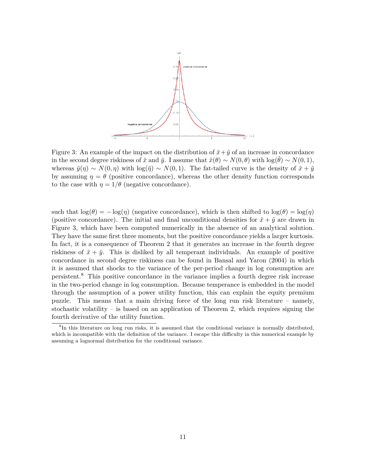

Figure 3: An example of the impact on the distribution of  $\tilde{x} + \tilde{y}$  of an increase in concordance in the second degree riskiness of  $\tilde{x}$  and  $\tilde{y}$ . I assume that  $\tilde{x}(\theta) \sim N(0, \theta)$  with  $\log(\theta) \sim N(0, 1)$ , whereas  $\tilde{y}(\eta) \sim N(0, \eta)$  with  $\log(\tilde{\eta}) \sim N(0, 1)$ . The fat-tailed curve is the density of  $\tilde{x} + \tilde{y}$ by assuming  $\eta = \theta$  (positive concordance), whereas the other density function corresponds to the case with  $\eta = 1/\theta$  (negative concordance).

such that  $\log(\theta) = -\log(\eta)$  (negative concordance), which is then shifted to  $\log(\theta) = \log(\eta)$ (positive concordance). The initial and final unconditional densities for  $\tilde{x} + \tilde{y}$  are drawn in Figure 3, which have been computed numerically in the absence of an analytical solution. They have the same first three moments, but the positive concordance yields a larger kurtosis. In fact, it is a consequence of Theorem 2 that it generates an increase in the fourth degree riskiness of  $\tilde{x} + \tilde{y}$ . This is disliked by all temperant individuals. An example of positive concordance in second degree riskiness can be found in Bansal and Yaron (2004) in which it is assumed that shocks to the variance of the per-period change in log consumption are persistent.<sup>8</sup> This positive concordance in the variance implies a fourth degree risk increase in the two-period change in log consumption. Because temperance is embedded in the model through the assumption of a power utility function, this can explain the equity premium puzzle. This means that a main driving force of the long run risk literature – namely, stochastic volatility – is based on an application of Theorem 2, which requires signing the fourth derivative of the utility function.

<sup>&</sup>lt;sup>8</sup>In this literature on long run risks, it is assumed that the conditional variance is normally distributed, which is incompatible with the definition of the variance. I escape this difficulty in this numerical example by assuming a lognormal distribution for the conditional variance.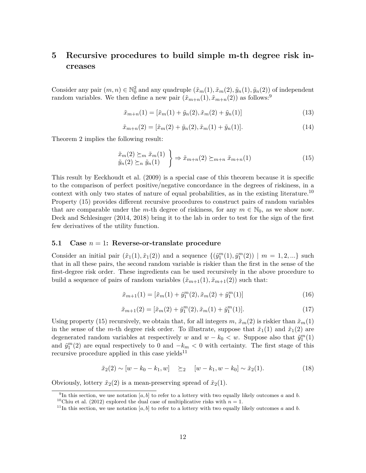## **5 Recursive procedures to build simple m-th degree risk increases**

Consider any pair  $(m, n) \in \mathbb{N}_0^2$  and any quadruple  $(\tilde{x}_m(1), \tilde{x}_m(2), \tilde{y}_n(1), \tilde{y}_n(2))$  of independent random variables. We then define a new pair  $(\tilde{x}_{m+n}(1), \tilde{x}_{m+n}(2))$  as follows:<sup>9</sup>

$$
\tilde{x}_{m+n}(1) = [\tilde{x}_m(1) + \tilde{y}_n(2), \tilde{x}_m(2) + \tilde{y}_n(1)]
$$
\n(13)

$$
\tilde{x}_{m+n}(2) = [\tilde{x}_m(2) + \tilde{y}_n(2), \tilde{x}_m(1) + \tilde{y}_n(1)].
$$
\n(14)

Theorem 2 implies the following result:

$$
\tilde{x}_{m}(2) \succeq_{m} \tilde{x}_{m}(1) \n\tilde{y}_{n}(2) \succeq_{n} \tilde{y}_{n}(1) \quad \Rightarrow \tilde{x}_{m+n}(2) \succeq_{m+n} \tilde{x}_{m+n}(1)
$$
\n(15)

This result by Eeckhoudt et al. (2009) is a special case of this theorem because it is specific to the comparison of perfect positive/negative concordance in the degrees of riskiness, in a context with only two states of nature of equal probabilities, as in the existing literature.<sup>10</sup> Property (15) provides different recursive procedures to construct pairs of random variables that are comparable under the *m*-th degree of riskiness, for any  $m \in \mathbb{N}_0$ , as we show now. Deck and Schlesinger (2014, 2018) bring it to the lab in order to test for the sign of the first few derivatives of the utility function.

#### **5.1 Case** *n* = 1**: Reverse-or-translate procedure**

Consider an initial pair  $(\tilde{x}_1(1), \tilde{x}_1(2))$  and a sequence  $\{(\tilde{y}_1^m(1), \tilde{y}_1^m(2)) | m = 1, 2, ...\}$  such that in all these pairs, the second random variable is riskier than the first in the sense of the first-degree risk order. These ingredients can be used recursively in the above procedure to build a sequence of pairs of random variables  $(\tilde{x}_{m+1}(1), \tilde{x}_{m+1}(2))$  such that:

$$
\tilde{x}_{m+1}(1) = [\tilde{x}_m(1) + \tilde{y}_1^m(2), \tilde{x}_m(2) + \tilde{y}_1^m(1)]
$$
\n(16)

$$
\tilde{x}_{m+1}(2) = [\tilde{x}_m(2) + \tilde{y}_1^m(2), \tilde{x}_m(1) + \tilde{y}_1^m(1)].
$$
\n(17)

Using property (15) recursively, we obtain that, for all integers  $m, \tilde{x}_m(2)$  is riskier than  $\tilde{x}_m(1)$ in the sense of the *m*-th degree risk order. To illustrate, suppose that  $\tilde{x}_1(1)$  and  $\tilde{x}_1(2)$  are degenerated random variables at respectively *w* and  $w - k_0 < w$ . Suppose also that  $\tilde{y}_1^m(1)$ and  $\tilde{y}_1^m(2)$  are equal respectively to 0 and  $-k_m < 0$  with certainty. The first stage of this recursive procedure applied in this case yields<sup>11</sup>

$$
\tilde{x}_2(2) \sim [w - k_0 - k_1, w] \geq 2 \quad [w - k_1, w - k_0] \sim \tilde{x}_2(1).
$$
\n(18)

Obviously, lottery  $\tilde{x}_2(2)$  is a mean-preserving spread of  $\tilde{x}_2(1)$ .

<sup>&</sup>lt;sup>9</sup>In this section, we use notation [a, b] to refer to a lottery with two equally likely outcomes a and b.

<sup>&</sup>lt;sup>10</sup>Chiu et al. (2012) explored the dual case of multiplicative risks with  $n = 1$ .

<sup>&</sup>lt;sup>11</sup>In this section, we use notation [a, b] to refer to a lottery with two equally likely outcomes a and b.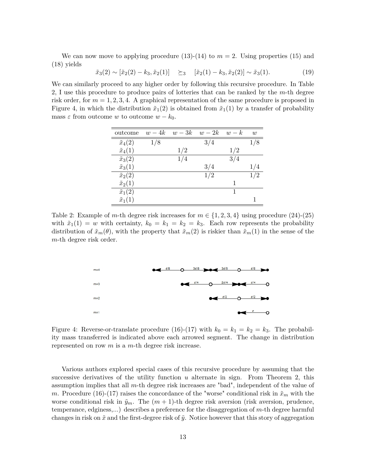We can now move to applying procedure  $(13)-(14)$  to  $m=2$ . Using properties  $(15)$  and (18) yields

 $\tilde{x}_3(2) \sim [\tilde{x}_2(2) - k_3, \tilde{x}_2(1)] \geq \tilde{x}_3 \quad [\tilde{x}_2(1) - k_3, \tilde{x}_2(2)] \sim \tilde{x}_3(1).$ (19)

We can similarly proceed to any higher order by following this recursive procedure. In Table 2, I use this procedure to produce pairs of lotteries that can be ranked by the *m*-th degree risk order, for  $m = 1, 2, 3, 4$ . A graphical representation of the same procedure is proposed in Figure 4, in which the distribution  $\tilde{x}_1(2)$  is obtained from  $\tilde{x}_1(1)$  by a transfer of probability mass  $\varepsilon$  from outcome *w* to outcome  $w - k_0$ .

| outcome          | $w-4k$ | $w-3k$ | $w-2k$ | $w-k$ | w   |
|------------------|--------|--------|--------|-------|-----|
| $\tilde{x}_4(2)$ | 1/8    |        | 3/4    |       |     |
| $\tilde{x}_4(1)$ |        | 1/2    |        | 1/2   |     |
| $\tilde{x}_3(2)$ |        | 1/4    |        | 3/4   |     |
| $\tilde{x}_3(1)$ |        |        | 3/4    |       |     |
| $\tilde{x}_2(2)$ |        |        | 1/2    |       | 1/2 |
| $\tilde{x}_2(1)$ |        |        |        | 1     |     |
| $\tilde{x}_1(2)$ |        |        |        | 1     |     |
| $\tilde{x}_1(1)$ |        |        |        |       |     |

Table 2: Example of *m*-th degree risk increases for  $m \in \{1, 2, 3, 4\}$  using procedure (24)-(25) with  $\tilde{x}_1(1) = w$  with certainty,  $k_0 = k_1 = k_2 = k_3$ . Each row represents the probability distribution of  $\tilde{x}_m(\theta)$ , with the property that  $\tilde{x}_m(2)$  is riskier than  $\tilde{x}_m(1)$  in the sense of the *m*-th degree risk order.



Figure 4: Reverse-or-translate procedure (16)-(17) with  $k_0 = k_1 = k_2 = k_3$ . The probability mass transferred is indicated above each arrowed segment. The change in distribution represented on row *m* is a *m*-th degree risk increase.

Various authors explored special cases of this recursive procedure by assuming that the successive derivatives of the utility function *u* alternate in sign. From Theorem 2, this assumption implies that all *m*-th degree risk increases are "bad", independent of the value of *m*. Procedure (16)-(17) raises the concordance of the "worse" conditional risk in  $\tilde{x}_m$  with the worse conditional risk in  $\tilde{y}_m$ . The  $(m + 1)$ -th degree risk aversion (risk aversion, prudence, temperance, edginess,...) describes a preference for the disaggregation of *m*-th degree harmful changes in risk on  $\tilde{x}$  and the first-degree risk of  $\tilde{y}$ . Notice however that this story of aggregation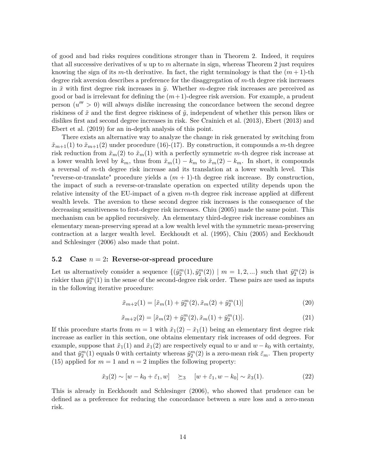of good and bad risks requires conditions stronger than in Theorem 2. Indeed, it requires that all successive derivatives of *u* up to *m* alternate in sign, whereas Theorem 2 just requires knowing the sign of its *m*-th derivative. In fact, the right terminology is that the  $(m+1)$ -th degree risk aversion describes a preference for the disaggregation of *m*-th degree risk increases in  $\tilde{x}$  with first degree risk increases in  $\tilde{y}$ . Whether *m*-degree risk increases are perceived as good or bad is irrelevant for defining the  $(m+1)$ -degree risk aversion. For example, a prudent person  $(u'' > 0)$  will always dislike increasing the concordance between the second degree riskiness of  $\tilde{x}$  and the first degree riskiness of  $\tilde{y}$ , independent of whether this person likes or dislikes first and second degree increases in risk. See Crainich et al. (2013), Ebert (2013) and Ebert et al. (2019) for an in-depth analysis of this point.

There exists an alternative way to analyze the change in risk generated by switching from  $\tilde{x}_{m+1}(1)$  to  $\tilde{x}_{m+1}(2)$  under procedure (16)-(17). By construction, it compounds a *m*-th degree risk reduction from  $\tilde{x}_m(2)$  to  $\tilde{x}_m(1)$  with a perfectly symmetric *m*-th degree risk increase at a lower wealth level by  $k_m$ , thus from  $\tilde{x}_m(1) - k_m$  to  $\tilde{x}_m(2) - k_m$ . In short, it compounds a reversal of *m*-th degree risk increase and its translation at a lower wealth level. This "reverse-or-translate" procedure yields a (*m* + 1)-th degree risk increase. By construction, the impact of such a reverse-or-translate operation on expected utility depends upon the relative intensity of the EU-impact of a given *m*-th degree risk increase applied at different wealth levels. The aversion to these second degree risk increases is the consequence of the decreasing sensitiveness to first-degree risk increases. Chiu (2005) made the same point. This mechanism can be applied recursively. An elementary third-degree risk increase combines an elementary mean-preserving spread at a low wealth level with the symmetric mean-preserving contraction at a larger wealth level. Eeckhoudt et al. (1995), Chiu (2005) and Eeckhoudt and Schlesinger (2006) also made that point.

#### **5.2 Case** *n* = 2**: Reverse-or-spread procedure**

Let us alternatively consider a sequence  $\{(\tilde{y}_2^m(1), \tilde{y}_2^m(2)) \mid m = 1, 2, ...\}$  such that  $\tilde{y}_2^m(2)$  is riskier than  $\tilde{y}_2^m(1)$  in the sense of the second-degree risk order. These pairs are used as inputs in the following iterative procedure:

$$
\tilde{x}_{m+2}(1) = [\tilde{x}_m(1) + \tilde{y}_2^m(2), \tilde{x}_m(2) + \tilde{y}_2^m(1)]
$$
\n(20)

$$
\tilde{x}_{m+2}(2) = [\tilde{x}_m(2) + \tilde{y}_2^m(2), \tilde{x}_m(1) + \tilde{y}_2^m(1)].
$$
\n(21)

If this procedure starts from  $m = 1$  with  $\tilde{x}_1(2) - \tilde{x}_1(1)$  being an elementary first degree risk increase as earlier in this section, one obtains elementary risk increases of odd degrees. For example, suppose that  $\tilde{x}_1(1)$  and  $\tilde{x}_1(2)$  are respectively equal to *w* and *w* − *k*<sub>0</sub> with certainty, and that  $\tilde{y}_2^m(1)$  equals 0 with certainty whereas  $\tilde{y}_2^m(2)$  is a zero-mean risk  $\tilde{\epsilon}_m$ . Then property (15) applied for  $m = 1$  and  $n = 2$  implies the following property:

$$
\tilde{x}_3(2) \sim [w - k_0 + \tilde{\varepsilon}_1, w] \quad \succeq_3 \quad [w + \tilde{\varepsilon}_1, w - k_0] \sim \tilde{x}_3(1). \tag{22}
$$

This is already in Eeckhoudt and Schlesinger (2006), who showed that prudence can be defined as a preference for reducing the concordance between a sure loss and a zero-mean risk.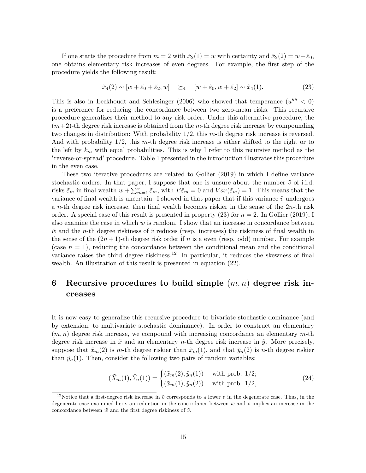If one starts the procedure from  $m = 2$  with  $\tilde{x}_2(1) = w$  with certainty and  $\tilde{x}_2(2) = w + \tilde{\varepsilon}_0$ , one obtains elementary risk increases of even degrees. For example, the first step of the procedure yields the following result:

$$
\tilde{x}_4(2) \sim [w + \tilde{\varepsilon}_0 + \tilde{\varepsilon}_2, w] \quad \succeq_4 \quad [w + \tilde{\varepsilon}_0, w + \tilde{\varepsilon}_2] \sim \tilde{x}_4(1). \tag{23}
$$

This is also in Eeckhoudt and Schlesinger (2006) who showed that temperance  $(u'''' < 0)$ is a preference for reducing the concordance between two zero-mean risks. This recursive procedure generalizes their method to any risk order. Under this alternative procedure, the (*m*+2)-th degree risk increase is obtained from the *m*-th degree risk increase by compounding two changes in distribution: With probability 1/2, this *m*-th degree risk increase is reversed. And with probability 1/2, this *m*-th degree risk increase is either shifted to the right or to the left by  $k_m$  with equal probabilities. This is why I refer to this recursive method as the "reverse-or-spread" procedure. Table 1 presented in the introduction illustrates this procedure in the even case.

These two iterative procedures are related to Gollier (2019) in which I define variance stochastic orders. In that paper, I suppose that one is unsure about the number  $\tilde{v}$  of i.i.d. risks  $\tilde{\varepsilon}_m$  in final wealth  $w + \sum_{m=1}^{\tilde{v}} \tilde{\varepsilon}_m$ , with  $E\tilde{\varepsilon}_m = 0$  and  $Var(\tilde{\varepsilon}_m) = 1$ . This means that the variance of final wealth is uncertain. I showed in that paper that if this variance  $\tilde{v}$  undergoes a *n*-th degree risk increase, then final wealth becomes riskier in the sense of the 2*n*-th risk order. A special case of this result is presented in property (23) for *n* = 2. In Gollier (2019), I also examine the case in which *w* is random. I show that an increase in concordance between  $\tilde{w}$  and the *n*-th degree riskiness of  $\tilde{v}$  reduces (resp. increases) the riskiness of final wealth in the sense of the  $(2n + 1)$ -th degree risk order if *n* is a even (resp. odd) number. For example (case  $n = 1$ ), reducing the concordance between the conditional mean and the conditional variance raises the third degree riskiness.<sup>12</sup> In particular, it reduces the skewness of final wealth. An illustration of this result is presented in equation (22).

# **6 Recursive procedures to build simple** (*m, n*) **degree risk increases**

It is now easy to generalize this recursive procedure to bivariate stochastic dominance (and by extension, to multivariate stochastic dominance). In order to construct an elementary (*m, n*) degree risk increase, we compound with increasing concordance an elementary *m*-th degree risk increase in  $\tilde{x}$  and an elementary *n*-th degree risk increase in  $\tilde{y}$ . More precisely, suppose that  $\tilde{x}_m(2)$  is *m*-th degree riskier than  $\tilde{x}_m(1)$ , and that  $\tilde{y}_n(2)$  is *n*-th degree riskier than  $\tilde{y}_n(1)$ . Then, consider the following two pairs of random variables:

$$
(\tilde{X}_m(1), \tilde{Y}_n(1)) = \begin{cases} (\tilde{x}_m(2), \tilde{y}_n(1)) & \text{with prob. } 1/2; \\ (\tilde{x}_m(1), \tilde{y}_n(2)) & \text{with prob. } 1/2, \end{cases}
$$
(24)

<sup>&</sup>lt;sup>12</sup>Notice that a first-degree risk increase in  $\tilde{v}$  corresponds to a lower  $v$  in the degenerate case. Thus, in the degenerate case examined here, an reduction in the concordance between  $\tilde{w}$  and  $\tilde{v}$  implies an increase in the concordance between  $\tilde{w}$  and the first degree riskiness of  $\tilde{v}$ .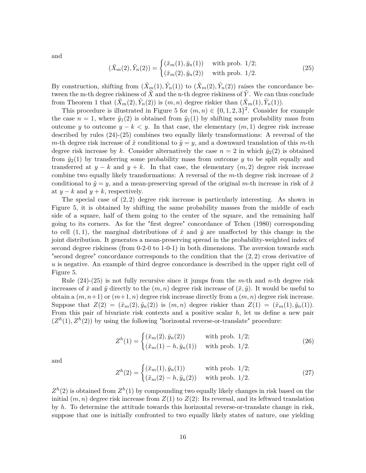and

$$
(\tilde{X}_m(2), \tilde{Y}_n(2)) = \begin{cases} (\tilde{x}_m(1), \tilde{y}_n(1)) & \text{with prob. } 1/2; \\ (\tilde{x}_m(2), \tilde{y}_n(2)) & \text{with prob. } 1/2. \end{cases}
$$
 (25)

By construction, shifting from  $(\tilde{X}_m(1), \tilde{Y}_n(1))$  to  $(\tilde{X}_m(2), \tilde{Y}_n(2))$  raises the concordance between the m-th degree riskiness of  $\tilde{X}$  and the n-th degree riskiness of  $\tilde{Y}$ . We can thus conclude from Theorem 1 that  $(\tilde{X}_m(2), \tilde{Y}_n(2))$  is  $(m, n)$  degree riskier than  $(\tilde{X}_m(1), \tilde{Y}_n(1))$ .

This procedure is illustrated in Figure 5 for  $(m, n) \in \{0, 1, 2, 3\}^2$ . Consider for example the case  $n = 1$ , where  $\tilde{y}_1(2)$  is obtained from  $\tilde{y}_1(1)$  by shifting some probability mass from outcome *y* to outcome  $y - k < y$ . In that case, the elementary  $(m, 1)$  degree risk increase described by rules (24)-(25) combines two equally likely transformations: A reversal of the *m*-th degree risk increase of  $\tilde{x}$  conditional to  $\tilde{y} = y$ , and a downward translation of this *m*-th degree risk increase by k. Consider alternatively the case  $n = 2$  in which  $\tilde{y}_2(2)$  is obtained from  $\tilde{y}_2(1)$  by transferring some probability mass from outcome *y* to be split equally and transferred at  $y - k$  and  $y + k$ . In that case, the elementary  $(m, 2)$  degree risk increase combine two equally likely transformations: A reversal of the  $m$ -th degree risk increase of  $\tilde{x}$ conditional to  $\tilde{y} = y$ , and a mean-preserving spread of the original *m*-th increase in risk of  $\tilde{x}$ at  $y - k$  and  $y + k$ , respectively.

The special case of (2*,* 2) degree risk increase is particularly interesting. As shown in Figure 5, it is obtained by shifting the same probability masses from the middle of each side of a square, half of them going to the center of the square, and the remaining half going to its corners. As for the "first degree" concordance of Tchen (1980) corresponding to cell  $(1,1)$ , the marginal distributions of  $\tilde{x}$  and  $\tilde{y}$  are unaffected by this change in the joint distribution. It generates a mean-preserving spread in the probability-weighted index of second degree riskiness (from 0-2-0 to 1-0-1) in both dimensions. The aversion towards such "second degree" concordance corresponds to the condition that the (2*,* 2) cross derivative of *u* is negative. An example of third degree concordance is described in the upper right cell of Figure 5.

Rule (24)-(25) is not fully recursive since it jumps from the *m*-th and *n*-th degree risk increases of  $\tilde{x}$  and  $\tilde{y}$  directly to the  $(m, n)$  degree risk increase of  $(\tilde{x}, \tilde{y})$ . It would be useful to obtain a  $(m, n+1)$  or  $(m+1, n)$  degree risk increase directly from a  $(m, n)$  degree risk increase. Suppose that  $Z(2) = (\tilde{x}_m(2), \tilde{y}_n(2))$  is  $(m, n)$  degree riskier than  $Z(1) = (\tilde{x}_m(1), \tilde{y}_n(1))$ . From this pair of bivariate risk contexts and a positive scalar *h*, let us define a new pair  $(Z<sup>h</sup>(1), Z<sup>h</sup>(2))$  by using the following "horizontal reverse-or-translate" procedure:

$$
Z^{h}(1) = \begin{cases} (\tilde{x}_{m}(2), \tilde{y}_{n}(2)) & \text{with prob. } 1/2; \\ (\tilde{x}_{m}(1) - h, \tilde{y}_{n}(1)) & \text{with prob. } 1/2. \end{cases}
$$
(26)

and

$$
Z^{h}(2) = \begin{cases} (\tilde{x}_{m}(1), \tilde{y}_{n}(1)) & \text{with prob. } 1/2; \\ (\tilde{x}_{m}(2) - h, \tilde{y}_{n}(2)) & \text{with prob. } 1/2. \end{cases}
$$
(27)

 $Z<sup>h</sup>(2)$  is obtained from  $Z<sup>h</sup>(1)$  by compounding two equally likely changes in risk based on the initial  $(m, n)$  degree risk increase from  $Z(1)$  to  $Z(2)$ : Its reversal, and its leftward translation by *h*. To determine the attitude towards this horizontal reverse-or-translate change in risk, suppose that one is initially confronted to two equally likely states of nature, one yielding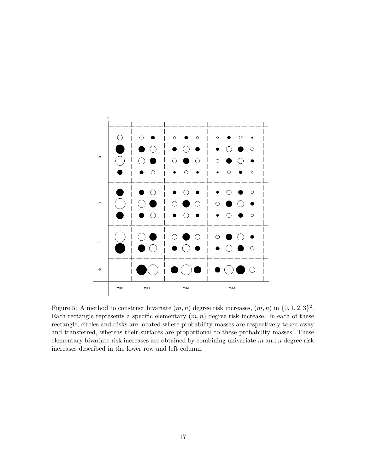

Figure 5: A method to construct bivariate  $(m, n)$  degree risk increases,  $(m, n)$  in  $\{0, 1, 2, 3\}^2$ . Each rectangle represents a specific elementary  $(m, n)$  degree risk increase. In each of these rectangle, circles and disks are located where probability masses are respectively taken away and transferred, whereas their surfaces are proportional to these probability masses. These elementary bivariate risk increases are obtained by combining univariate *m* and *n* degree risk increases described in the lower row and left column.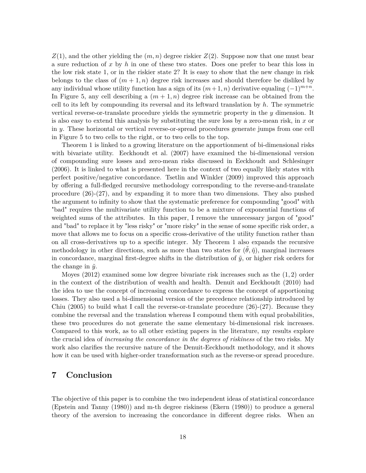*Z*(1), and the other yielding the (*m, n*) degree riskier *Z*(2). Suppose now that one must bear a sure reduction of *x* by *h* in one of these two states. Does one prefer to bear this loss in the low risk state 1, or in the riskier state 2? It is easy to show that the new change in risk belongs to the class of  $(m + 1, n)$  degree risk increases and should therefore be disliked by any individual whose utility function has a sign of its  $(m+1, n)$  derivative equaling  $(-1)^{m+n}$ . In Figure 5, any cell describing a  $(m+1, n)$  degree risk increase can be obtained from the cell to its left by compounding its reversal and its leftward translation by *h*. The symmetric vertical reverse-or-translate procedure yields the symmetric property in the *y* dimension. It is also easy to extend this analysis by substituting the sure loss by a zero-mean risk, in *x* or in *y*. These horizontal or vertical reverse-or-spread procedures generate jumps from one cell in Figure 5 to two cells to the right, or to two cells to the top.

Theorem 1 is linked to a growing literature on the apportionment of bi-dimensional risks with bivariate utility. Eeckhoudt et al. (2007) have examined the bi-dimensional version of compounding sure losses and zero-mean risks discussed in Eeckhoudt and Schlesinger (2006). It is linked to what is presented here in the context of two equally likely states with perfect positive/negative concordance. Tsetlin and Winkler (2009) improved this approach by offering a full-fledged recursive methodology corresponding to the reverse-and-translate procedure (26)-(27), and by expanding it to more than two dimensions. They also pushed the argument to infinity to show that the systematic preference for compounding "good" with "bad" requires the multivariate utility function to be a mixture of exponential functions of weighted sums of the attributes. In this paper, I remove the unnecessary jargon of "good" and "bad" to replace it by "less risky" or "more risky" in the sense of some specific risk order, a move that allows me to focus on a specific cross-derivative of the utility function rather than on all cross-derivatives up to a specific integer. My Theorem 1 also expands the recursive methodology in other directions, such as more than two states for  $(\tilde{\theta}, \tilde{\eta})$ , marginal increases in concordance, marginal first-degree shifts in the distribution of  $\tilde{y}$ , or higher risk orders for the change in  $\tilde{y}$ .

Moyes (2012) examined some low degree bivariate risk increases such as the (1*,* 2) order in the context of the distribution of wealth and health. Denuit and Eeckhoudt (2010) had the idea to use the concept of increasing concordance to express the concept of apportioning losses. They also used a bi-dimensional version of the precedence relationship introduced by Chiu (2005) to build what I call the reverse-or-translate procedure  $(26)-(27)$ . Because they combine the reversal and the translation whereas I compound them with equal probabilities, these two procedures do not generate the same elementary bi-dimensional risk increases. Compared to this work, as to all other existing papers in the literature, my results explore the crucial idea of *increasing the concordance in the degrees of riskiness* of the two risks. My work also clarifies the recursive nature of the Denuit-Eeckhoudt methodology, and it shows how it can be used with higher-order transformation such as the reverse-or spread procedure.

### **7 Conclusion**

The objective of this paper is to combine the two independent ideas of statistical concordance (Epstein and Tanny (1980)) and m-th degree riskiness (Ekern (1980)) to produce a general theory of the aversion to increasing the concordance in different degree risks. When an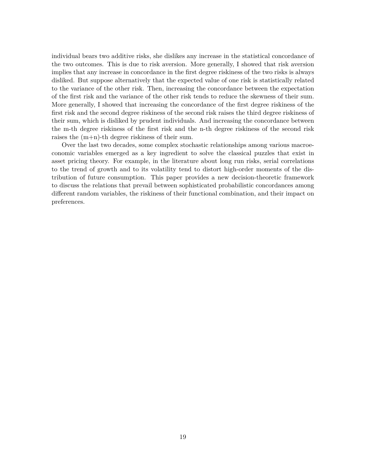individual bears two additive risks, she dislikes any increase in the statistical concordance of the two outcomes. This is due to risk aversion. More generally, I showed that risk aversion implies that any increase in concordance in the first degree riskiness of the two risks is always disliked. But suppose alternatively that the expected value of one risk is statistically related to the variance of the other risk. Then, increasing the concordance between the expectation of the first risk and the variance of the other risk tends to reduce the skewness of their sum. More generally, I showed that increasing the concordance of the first degree riskiness of the first risk and the second degree riskiness of the second risk raises the third degree riskiness of their sum, which is disliked by prudent individuals. And increasing the concordance between the m-th degree riskiness of the first risk and the n-th degree riskiness of the second risk raises the (m+n)-th degree riskiness of their sum.

Over the last two decades, some complex stochastic relationships among various macroeconomic variables emerged as a key ingredient to solve the classical puzzles that exist in asset pricing theory. For example, in the literature about long run risks, serial correlations to the trend of growth and to its volatility tend to distort high-order moments of the distribution of future consumption. This paper provides a new decision-theoretic framework to discuss the relations that prevail between sophisticated probabilistic concordances among different random variables, the riskiness of their functional combination, and their impact on preferences.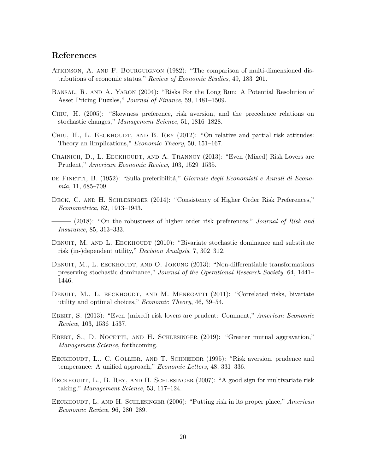### **References**

- Atkinson, A. and F. Bourguignon (1982): "The comparison of multi-dimensioned distributions of economic status," *Review of Economic Studies*, 49, 183–201.
- Bansal, R. and A. Yaron (2004): "Risks For the Long Run: A Potential Resolution of Asset Pricing Puzzles," *Journal of Finance*, 59, 1481–1509.
- Chiu, H. (2005): "Skewness preference, risk aversion, and the precedence relations on stochastic changes," *Management Science*, 51, 1816–1828.
- CHIU, H., L. EECKHOUDT, AND B. REY  $(2012)$ : "On relative and partial risk attitudes: Theory an iImplications," *Economic Theory*, 50, 151–167.
- CRAINICH, D., L. EECKHOUDT, AND A. TRANNOY (2013): "Even (Mixed) Risk Lovers are Prudent," *American Economic Review*, 103, 1529–1535.
- de Finetti, B. (1952): "Sulla preferibilitá," *Giornale degli Economisti e Annali di Economia*, 11, 685–709.
- Deck, C. and H. Schlesinger (2014): "Consistency of Higher Order Risk Preferences," *Econometrica*, 82, 1913–1943.
- ——— (2018): "On the robustness of higher order risk preferences," *Journal of Risk and Insurance*, 85, 313–333.
- DENUIT, M. AND L. EECKHOUDT (2010): "Bivariate stochastic dominance and substitute risk (in-)dependent utility," *Decision Analysis*, 7, 302–312.
- DENUIT, M., L. EECKHOUDT, AND O. JOKUNG  $(2013)$ : "Non-differentiable transformations preserving stochastic dominance," *Journal of the Operational Research Society*, 64, 1441– 1446.
- DENUIT, M., L. EECKHOUDT, AND M. MENEGATTI (2011): "Correlated risks, bivariate utility and optimal choices," *Economic Theory*, 46, 39–54.
- Ebert, S. (2013): "Even (mixed) risk lovers are prudent: Comment," *American Economic Review*, 103, 1536–1537.
- EBERT, S., D. NOCETTI, AND H. SCHLESINGER (2019): "Greater mutual aggravation," *Management Science*, forthcoming.
- EECKHOUDT, L., C. GOLLIER, AND T. SCHNEIDER (1995): "Risk aversion, prudence and temperance: A unified approach," *Economic Letters*, 48, 331–336.
- EECKHOUDT, L., B. REY, AND H. SCHLESINGER (2007): "A good sign for multivariate risk taking," *Management Science*, 53, 117–124.
- Eeckhoudt, L. and H. Schlesinger (2006): "Putting risk in its proper place," *American Economic Review*, 96, 280–289.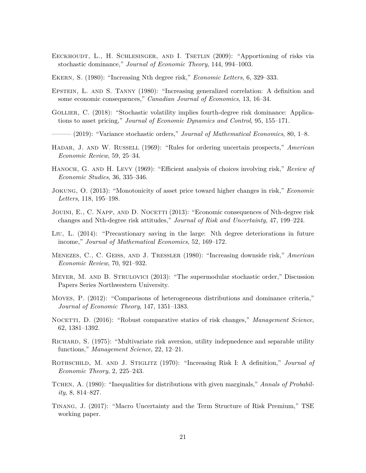- EECKHOUDT, L., H. SCHLESINGER, AND I. TSETLIN (2009): "Apportioning of risks via stochastic dominance," *Journal of Economic Theory*, 144, 994–1003.
- Ekern, S. (1980): "Increasing Nth degree risk," *Economic Letters*, 6, 329–333.
- Epstein, L. and S. Tanny (1980): "Increasing generalized correlation: A definition and some economic consequences," *Canadian Journal of Economics*, 13, 16–34.
- Gollier, C. (2018): "Stochastic volatility implies fourth-degree risk dominance: Applications to asset pricing," *Journal of Economic Dynamics and Control*, 95, 155–171.
- ——— (2019): "Variance stochastic orders," *Journal of Mathematical Economics*, 80, 1–8.
- Hadar, J. and W. Russell (1969): "Rules for ordering uncertain prospects," *American Economic Review*, 59, 25–34.
- HANOCH, G. AND H. LEVY (1969): "Efficient analysis of choices involving risk," *Review of Economic Studies*, 36, 335–346.
- Jokung, O. (2013): "Monotonicity of asset price toward higher changes in risk," *Economic Letters*, 118, 195–198.
- JOUINI, E., C. NAPP, AND D. NOCETTI (2013): "Economic consequences of Nth-degree risk changes and Nth-degree risk attitudes," *Journal of Risk and Uncertainty*, 47, 199–224.
- Liu, L. (2014): "Precautionary saving in the large: Nth degree deteriorations in future income," *Journal of Mathematical Economics*, 52, 169–172.
- Menezes, C., C. Geiss, and J. Tressler (1980): "Increasing downside risk," *American Economic Review*, 70, 921–932.
- Meyer, M. and B. Strulovici (2013): "The supermodular stochastic order," Discussion Papers Series Northwestern University.
- Moyes, P. (2012): "Comparisons of heterogeneous distributions and dominance criteria," *Journal of Economic Theory*, 147, 1351–1383.
- NOCETTI, D. (2016): "Robust comparative statics of risk changes," *Management Science*, 62, 1381–1392.
- Richard, S. (1975): "Multivariate risk aversion, utility indepnedence and separable utility functions," *Management Science*, 22, 12–21.
- ROTHSCHILD, M. AND J. STIGLITZ (1970): "Increasing Risk I: A definition," *Journal of Economic Theory*, 2, 225–243.
- Tchen, A. (1980): "Inequalities for distributions with given marginals," *Annals of Probability*, 8, 814–827.
- Tinang, J. (2017): "Macro Uncertainty and the Term Structure of Risk Premium," TSE working paper.